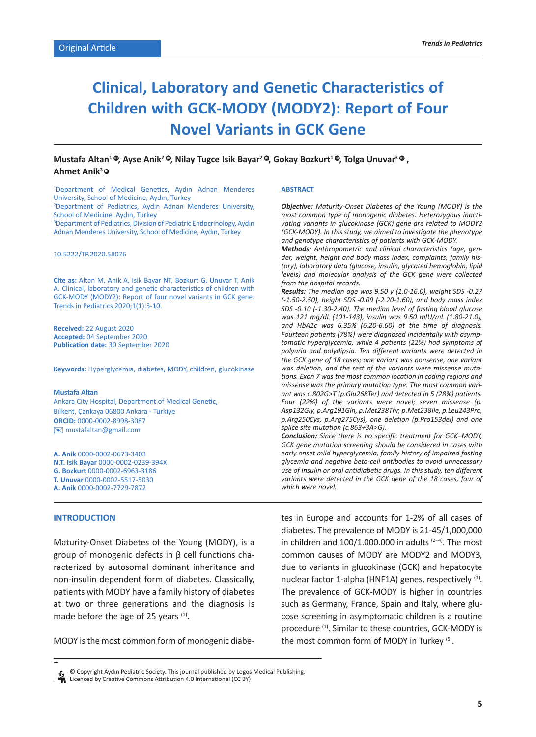# **Clinical, Laboratory and Genetic Characteristics of Children with GCK-MODY (MODY2): Report of Four Novel Variants in GCK Gene**

# $\blacksquare$ Mustafa Altan $^1\, \clubsuit$ , Ayse Anik $^2\, \clubsuit$ , Nilay Tugce Isik Bayar $^2\, \clubsuit$ , Gokay Bozkurt $^1\, \clubsuit$ , Tolga Unuvar $^3\, \clubsuit$  , **Ahmet Anik3 [ID](http://orcid.org/0000-0002-7729-7872)**

1 Department of Medical Genetics, Aydın Adnan Menderes University, School of Medicine, Aydın, Turkey 2 Department of Pediatrics, Aydın Adnan Menderes University, School of Medicine, Aydın, Turkey <sup>3</sup> Department of Pediatrics, Division of Pediatric Endocrinology, Aydın Adnan Menderes University, School of Medicine, Aydın, Turkey

## 10.5222/TP.2020.58076

**Cite as:** Altan M, Anik A, Isik Bayar NT, Bozkurt G, Unuvar T, Anik A. Clinical, laboratory and genetic characteristics of children with GCK-MODY (MODY2): Report of four novel variants in GCK gene. Trends in Pediatrics 2020;1(1):5-10.

**Received:** 22 August 2020 **Accepted:** 04 September 2020 **Publication date:** 30 September 2020

**Keywords:** Hyperglycemia, diabetes, MODY, children, glucokinase

#### **Mustafa Altan**

Ankara City Hospital, Department of Medical Genetic, Bilkent, Çankaya 06800 Ankara - Türkiye **ORCID:** 0000-0002-8998-3087 [✉](mailto:mustafaltan@gmail.com) mustafaltan@gmail.com

**A. Anik** 0000-0002-0673-3403 **N.T. Isik Bayar** 0000-0002-0239-394X **G. Bozkurt** 0000-0002-6963-3186 **T. Unuvar** 0000-0002-5517-5030 **A. Anik** 0000-0002-7729-7872

#### **INTRODUCTION**

Maturity-Onset Diabetes of the Young (MODY), is a group of monogenic defects in β cell functions characterized by autosomal dominant inheritance and non-insulin dependent form of diabetes. Classically, patients with MODY have a family history of diabetes at two or three generations and the diagnosis is made before the age of 25 years <sup>(1)</sup>.

MODY is the most common form of monogenic diabe-

#### **ABSTRACT**

*Objective: Maturity-Onset Diabetes of the Young (MODY) is the most common type of monogenic diabetes. Heterozygous inactivating variants in glucokinase (GCK) gene are related to MODY2 (GCK-MODY). In this study, we aimed to investigate the phenotype and genotype characteristics of patients with GCK-MODY.*

*Methods: Anthropometric and clinical characteristics (age, gender, weight, height and body mass index, complaints, family history), laboratory data (glucose, insulin, glycated hemoglobin, lipid levels) and molecular analysis of the GCK gene were collected from the hospital records.*

*Results: The median age was 9.50 y (1.0-16.0), weight SDS -0.27 (-1.50-2.50), height SDS -0.09 (-2.20-1.60), and body mass index SDS -0.10 (-1.30-2.40). The median level of fasting blood glucose was 121 mg/dL (101-143), insulin was 9.50 mIU/mL (1.80-21.0), and HbA1c was 6.35% (6.20-6.60) at the time of diagnosis. Fourteen patients (78%) were diagnosed incidentally with asymptomatic hyperglycemia, while 4 patients (22%) had symptoms of polyuria and polydipsia. Ten different variants were detected in the GCK gene of 18 cases; one variant was nonsense, one variant was deletion, and the rest of the variants were missense mutations. Exon 7 was the most common location in coding regions and missense was the primary mutation type. The most common variant was c.802G>T (p.Glu268Ter) and detected in 5 (28%) patients. Four (22%) of the variants were novel; seven missense (p. Asp132Gly, p.Arg191Gln, p.Met238Thr, p.Met238Ile, p.Leu243Pro, p.Arg250Cys, p.Arg275Cys), one deletion (p.Pro153del) and one splice site mutation (c.863+3A>G).*

*Conclusion: Since there is no specific treatment for GCK–MODY, GCK gene mutation screening should be considered in cases with early onset mild hyperglycemia, family history of impaired fasting glycemia and negative beta-cell antibodies to avoid unnecessary use of insulin or oral antidiabetic drugs. In this study, ten different*  variants were detected in the GCK gene of the 18 cases, four of *which were novel.* 

tes in Europe and accounts for 1-2% of all cases of diabetes. The prevalence of MODY is 21-45/1,000,000 in children and  $100/1.000.000$  in adults  $(2-4)$ . The most common causes of MODY are MODY2 and MODY3, due to variants in glucokinase (GCK) and hepatocyte nuclear factor 1-alpha (HNF1A) genes, respectively <sup>(1)</sup>. The prevalence of GCK-MODY is higher in countries such as Germany, France, Spain and Italy, where glucose screening in asymptomatic children is a routine procedure (1). Similar to these countries, GCK-MODY is the most common form of MODY in Turkey (5).

© Copyright Aydın Pediatric Society. This journal published by Logos Medical Publishing. Licenced by Creative Commons Attribution 4.0 International (CC BY)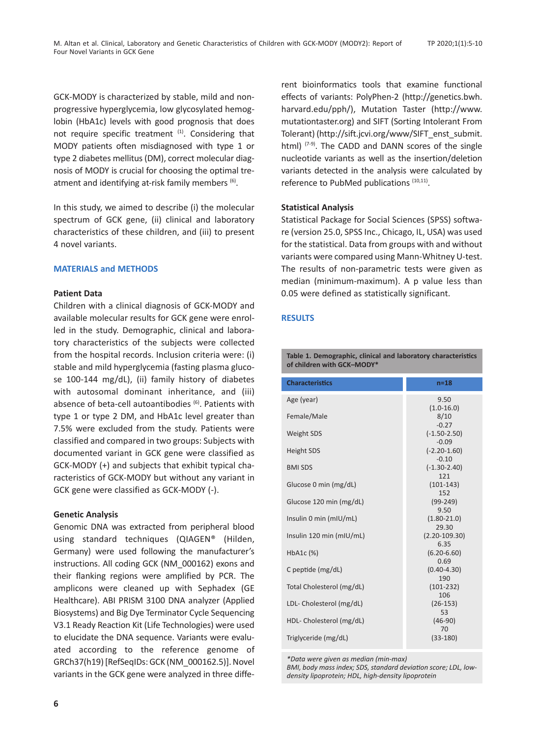GCK-MODY is characterized by stable, mild and nonprogressive hyperglycemia, low glycosylated hemoglobin (HbA1c) levels with good prognosis that does not require specific treatment (1). Considering that MODY patients often misdiagnosed with type 1 or type 2 diabetes mellitus (DM), correct molecular diagnosis of MODY is crucial for choosing the optimal treatment and identifying at-risk family members (6).

In this study, we aimed to describe (i) the molecular spectrum of GCK gene, (ii) clinical and laboratory characteristics of these children, and (iii) to present 4 novel variants.

# **MATERIALS and METHODS**

## **Patient Data**

Children with a clinical diagnosis of GCK-MODY and available molecular results for GCK gene were enrolled in the study. Demographic, clinical and laboratory characteristics of the subjects were collected from the hospital records. Inclusion criteria were: (i) stable and mild hyperglycemia (fasting plasma glucose 100-144 mg/dL), (ii) family history of diabetes with autosomal dominant inheritance, and (iii) absence of beta-cell autoantibodies (6). Patients with type 1 or type 2 DM, and HbA1c level greater than 7.5% were excluded from the study. Patients were classified and compared in two groups: Subjects with documented variant in GCK gene were classified as GCK-MODY (+) and subjects that exhibit typical characteristics of GCK-MODY but without any variant in GCK gene were classified as GCK-MODY (-).

#### **Genetic Analysis**

Genomic DNA was extracted from peripheral blood using standard techniques (QIAGEN® (Hilden, Germany) were used following the manufacturer's instructions. All coding GCK (NM\_000162) exons and their flanking regions were amplified by PCR. The amplicons were cleaned up with Sephadex (GE Healthcare). ABI PRISM 3100 DNA analyzer (Applied Biosystems) and Big Dye Terminator Cycle Sequencing V3.1 Ready Reaction Kit (Life Technologies) were used to elucidate the DNA sequence. Variants were evaluated according to the reference genome of GRCh37(h19) [RefSeqIDs: GCK (NM\_000162.5)]. Novel variants in the GCK gene were analyzed in three different bioinformatics tools that examine functional effects of variants: PolyPhen-2 (http://genetics.bwh. harvard.edu/pph/), Mutation Taster (http://www. mutationtaster.org) and SIFT (Sorting Intolerant From Tolerant) (http://sift.jcvi.org/www/SIFT\_enst\_submit. html)  $(7-9)$ . The CADD and DANN scores of the single nucleotide variants as well as the insertion/deletion variants detected in the analysis were calculated by reference to PubMed publications (10,11).

## **Statistical Analysis**

Statistical Package for Social Sciences (SPSS) software (version 25.0, SPSS Inc., Chicago, IL, USA) was used for the statistical. Data from groups with and without variants were compared using Mann-Whitney U-test. The results of non-parametric tests were given as median (minimum-maximum). A p value less than 0.05 were defined as statistically significant.

## **RESULTS**

**Table 1. Demographic, clinical and laboratory characteristics of children with GCK–MODY\*** 

| <b>Characteristics</b>    | n=18                                   |
|---------------------------|----------------------------------------|
| Age (year)                | 9.50                                   |
| Female/Male               | $(1.0 - 16.0)$<br>8/10<br>$-0.27$      |
| <b>Weight SDS</b>         | $(-1.50 - 2.50)$                       |
| <b>Height SDS</b>         | $-0.09$<br>$(-2.20 - 1.60)$<br>$-0.10$ |
| <b>BMI SDS</b>            | $(-1.30 - 2.40)$                       |
| Glucose 0 min (mg/dL)     | 121<br>$(101-143)$<br>152              |
| Glucose 120 min (mg/dL)   | $(99-249)$                             |
| Insulin 0 min (mIU/mL)    | 9.50<br>$(1.80 - 21.0)$<br>29.30       |
| Insulin 120 min (mIU/mL)  | $(2.20 - 109.30)$                      |
| $HbA1c$ $(\%)$            | 6.35<br>$(6.20 - 6.60)$<br>0.69        |
| C peptide $(mg/dL)$       | $(0.40 - 4.30)$                        |
| Total Cholesterol (mg/dL) | 190<br>$(101-232)$                     |
| LDL- Cholesterol (mg/dL)  | 106<br>$(26-153)$<br>53                |
| HDL- Cholesterol (mg/dL)  | $(46-90)$                              |
| Triglyceride (mg/dL)      | 70<br>$(33-180)$                       |

*\*Data were given as median (min-max)* 

*BMI, body mass index; SDS, standard deviation score; LDL, lowdensity lipoprotein; HDL, high-density lipoprotein*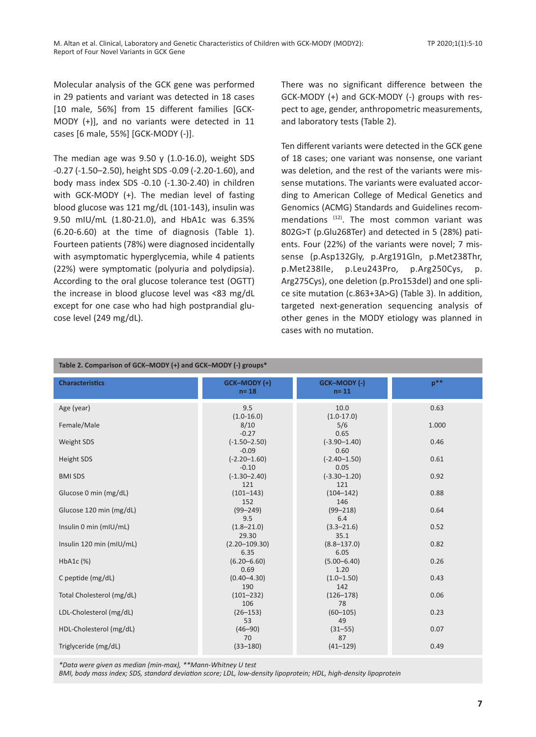Molecular analysis of the GCK gene was performed in 29 patients and variant was detected in 18 cases [10 male, 56%] from 15 different families [GCK-MODY (+)], and no variants were detected in 11 cases [6 male, 55%] [GCK-MODY (-)].

The median age was  $9.50 \times (1.0-16.0)$ , weight SDS -0.27 (-1.50–2.50), height SDS -0.09 (-2.20-1.60), and body mass index SDS -0.10 (-1.30-2.40) in children with GCK-MODY (+). The median level of fasting blood glucose was 121 mg/dL (101-143), insulin was 9.50 mIU/mL (1.80-21.0), and HbA1c was 6.35% (6.20-6.60) at the time of diagnosis (Table 1). Fourteen patients (78%) were diagnosed incidentally with asymptomatic hyperglycemia, while 4 patients (22%) were symptomatic (polyuria and polydipsia). According to the oral glucose tolerance test (OGTT) the increase in blood glucose level was <83 mg/dL except for one case who had high postprandial glucose level (249 mg/dL).

There was no significant difference between the GCK-MODY (+) and GCK-MODY (-) groups with respect to age, gender, anthropometric measurements, and laboratory tests (Table 2).

Ten different variants were detected in the GCK gene of 18 cases; one variant was nonsense, one variant was deletion, and the rest of the variants were missense mutations. The variants were evaluated according to American College of Medical Genetics and Genomics (ACMG) Standards and Guidelines recommendations (12). The most common variant was 802G>T (p.Glu268Ter) and detected in 5 (28%) patients. Four (22%) of the variants were novel; 7 missense (p.Asp132Gly, p.Arg191Gln, p.Met238Thr, p.Met238Ile, p.Leu243Pro, p.Arg250Cys, p. Arg275Cys), one deletion (p.Pro153del) and one splice site mutation (c.863+3A>G) (Table 3). In addition, targeted next-generation sequencing analysis of other genes in the MODY etiology was planned in cases with no mutation.

| Table 2. Comparison of GCK-MODY (+) and GCK-MODY (-) groups* |                                            |                                           |              |  |  |  |  |  |
|--------------------------------------------------------------|--------------------------------------------|-------------------------------------------|--------------|--|--|--|--|--|
| <b>Characteristics</b>                                       | GCK-MODY (+)<br>$n = 18$                   | GCK-MODY (-)<br>$n = 11$                  | $n***$       |  |  |  |  |  |
| Age (year)                                                   | 9.5<br>$(1.0 - 16.0)$                      | 10.0<br>$(1.0-17.0)$                      | 0.63         |  |  |  |  |  |
| Female/Male                                                  | 8/10<br>$-0.27$                            | 5/6<br>0.65                               | 1.000        |  |  |  |  |  |
| Weight SDS                                                   | $(-1.50 - 2.50)$<br>$-0.09$                | $(-3.90 - 1.40)$<br>0.60                  | 0.46         |  |  |  |  |  |
| <b>Height SDS</b>                                            | $(-2.20 - 1.60)$<br>$-0.10$                | $(-2.40 - 1.50)$<br>0.05                  | 0.61         |  |  |  |  |  |
| <b>BMI SDS</b>                                               | $(-1.30 - 2.40)$<br>121                    | $(-3.30 - 1.20)$<br>121                   | 0.92         |  |  |  |  |  |
| Glucose 0 min (mg/dL)                                        | $(101 - 143)$<br>152                       | $(104 - 142)$<br>146                      | 0.88         |  |  |  |  |  |
| Glucose 120 min (mg/dL)                                      | $(99 - 249)$<br>9.5                        | $(99 - 218)$<br>6.4                       | 0.64         |  |  |  |  |  |
| Insulin 0 min (mIU/mL)                                       | $(1.8 - 21.0)$<br>29.30                    | $(3.3 - 21.6)$<br>35.1                    | 0.52         |  |  |  |  |  |
| Insulin 120 min (mIU/mL)                                     | $(2.20 - 109.30)$<br>6.35                  | $(8.8 - 137.0)$<br>6.05                   | 0.82<br>0.26 |  |  |  |  |  |
| HbA1c (%)<br>C peptide (mg/dL)                               | $(6.20 - 6.60)$<br>0.69<br>$(0.40 - 4.30)$ | $(5.00 - 6.40)$<br>1.20<br>$(1.0 - 1.50)$ | 0.43         |  |  |  |  |  |
| Total Cholesterol (mg/dL)                                    | 190<br>$(101 - 232)$                       | 142<br>$(126 - 178)$                      | 0.06         |  |  |  |  |  |
| LDL-Cholesterol (mg/dL)                                      | 106<br>$(26 - 153)$                        | 78<br>$(60 - 105)$                        | 0.23         |  |  |  |  |  |
| HDL-Cholesterol (mg/dL)                                      | 53<br>$(46 - 90)$                          | 49<br>$(31 - 55)$                         | 0.07         |  |  |  |  |  |
| Triglyceride (mg/dL)                                         | 70<br>$(33 - 180)$                         | 87<br>$(41 - 129)$                        | 0.49         |  |  |  |  |  |
|                                                              |                                            |                                           |              |  |  |  |  |  |

*\*Data were given as median (min-max), \*\*Mann-Whitney U test*

*BMI, body mass index; SDS, standard deviation score; LDL, low-density lipoprotein; HDL, high-density lipoprotein*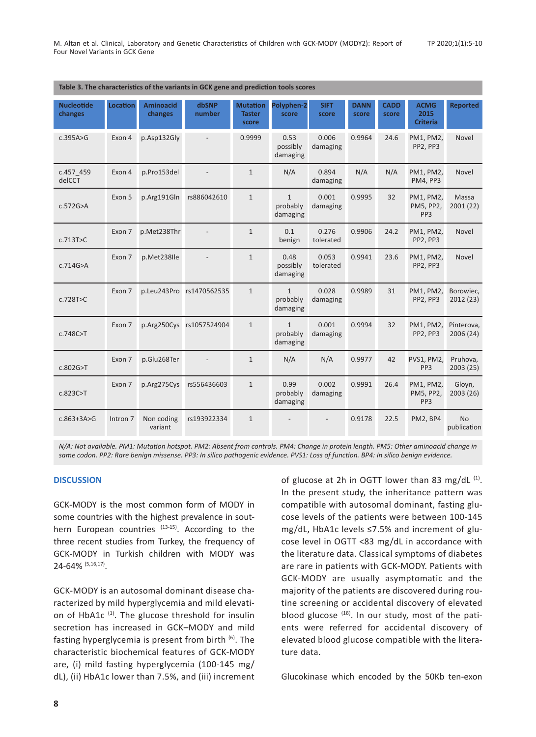| Table 3. The characteristics of the variants in GCK gene and prediction tools scores |          |                             |                 |                                           |                                      |                      |                      |                      |                                           |                          |
|--------------------------------------------------------------------------------------|----------|-----------------------------|-----------------|-------------------------------------------|--------------------------------------|----------------------|----------------------|----------------------|-------------------------------------------|--------------------------|
| <b>Nucleotide</b><br>changes                                                         | Location | <b>Aminoacid</b><br>changes | dbSNP<br>number | <b>Mutation</b><br><b>Taster</b><br>score | Polyphen-2<br>score                  | <b>SIFT</b><br>score | <b>DANN</b><br>score | <b>CADD</b><br>score | <b>ACMG</b><br>2015<br><b>Criteria</b>    | <b>Reported</b>          |
| c.395A>G                                                                             | Exon 4   | p.Asp132Gly                 |                 | 0.9999                                    | 0.53<br>possibly<br>damaging         | 0.006<br>damaging    | 0.9964               | 24.6                 | PM1, PM2,<br>PP2, PP3                     | Novel                    |
| c.457 459<br>delCCT                                                                  | Exon 4   | p.Pro153del                 |                 | $\mathbf{1}$                              | N/A                                  | 0.894<br>damaging    | N/A                  | N/A                  | PM1, PM2,<br>PM4, PP3                     | Novel                    |
| c.572G>A                                                                             | Exon 5   | p.Arg191Gln                 | rs886042610     | $\mathbf{1}$                              | $\mathbf{1}$<br>probably<br>damaging | 0.001<br>damaging    | 0.9995               | 32                   | PM1, PM2,<br>PM5, PP2,<br>PP <sub>3</sub> | Massa<br>2001(22)        |
| c.713T>C                                                                             | Exon 7   | p.Met238Thr                 |                 | $\mathbf{1}$                              | 0.1<br>benign                        | 0.276<br>tolerated   | 0.9906               | 24.2                 | PM1, PM2,<br>PP2, PP3                     | Novel                    |
| c.714G>A                                                                             | Exon 7   | p.Met238Ile                 |                 | $\mathbf{1}$                              | 0.48<br>possibly<br>damaging         | 0.053<br>tolerated   | 0.9941               | 23.6                 | PM1, PM2,<br>PP2, PP3                     | Novel                    |
| c.728T>C                                                                             | Exon 7   | p.Leu243Pro                 | rs1470562535    | $\mathbf{1}$                              | $\mathbf{1}$<br>probably<br>damaging | 0.028<br>damaging    | 0.9989               | 31                   | PM1, PM2,<br>PP2, PP3                     | Borowiec,<br>2012 (23)   |
| c.748C > T                                                                           | Exon 7   | p.Arg250Cys                 | rs1057524904    | $\mathbf{1}$                              | $\mathbf{1}$<br>probably<br>damaging | 0.001<br>damaging    | 0.9994               | 32                   | PM1, PM2,<br>PP2, PP3                     | Pinterova,<br>2006(24)   |
| c.802G > T                                                                           | Exon 7   | p.Glu268Ter                 |                 | $\mathbf{1}$                              | N/A                                  | N/A                  | 0.9977               | 42                   | PVS1, PM2,<br>PP <sub>3</sub>             | Pruhova,<br>2003 (25)    |
| c.823C > T                                                                           | Exon 7   | p.Arg275Cys                 | rs556436603     | $\mathbf{1}$                              | 0.99<br>probably<br>damaging         | 0.002<br>damaging    | 0.9991               | 26.4                 | PM1, PM2,<br>PM5, PP2,<br>PP <sub>3</sub> | Gloyn,<br>2003 (26)      |
| $c.863 + 3A > G$                                                                     | Intron 7 | Non coding<br>variant       | rs193922334     | $\mathbf{1}$                              |                                      |                      | 0.9178               | 22.5                 | PM2, BP4                                  | <b>No</b><br>publication |

*N/A: Not available. PM1: Mutation hotspot. PM2: Absent from controls. PM4: Change in protein length. PM5: Other aminoacid change in same codon. PP2: Rare benign missense. PP3: In silico pathogenic evidence. PVS1: Loss of function. BP4: In silico benign evidence.*

## **DISCUSSION**

GCK-MODY is the most common form of MODY in some countries with the highest prevalence in southern European countries  $(13-15)$ . According to the three recent studies from Turkey, the frequency of GCK-MODY in Turkish children with MODY was 24-64% (5,16,17).

GCK-MODY is an autosomal dominant disease characterized by mild hyperglycemia and mild elevation of HbA1c  $(1)$ . The glucose threshold for insulin secretion has increased in GCK–MODY and mild fasting hyperglycemia is present from birth (6). The characteristic biochemical features of GCK-MODY are, (i) mild fasting hyperglycemia (100-145 mg/ dL), (ii) HbA1c lower than 7.5%, and (iii) increment of glucose at 2h in OGTT lower than 83 mg/dL  $(1)$ . In the present study, the inheritance pattern was compatible with autosomal dominant, fasting glucose levels of the patients were between 100-145 mg/dL, HbA1c levels ≤7.5% and increment of glucose level in OGTT <83 mg/dL in accordance with the literature data. Classical symptoms of diabetes are rare in patients with GCK-MODY. Patients with GCK-MODY are usually asymptomatic and the majority of the patients are discovered during routine screening or accidental discovery of elevated blood glucose  $(18)$ . In our study, most of the patients were referred for accidental discovery of elevated blood glucose compatible with the literature data.

Glucokinase which encoded by the 50Kb ten-exon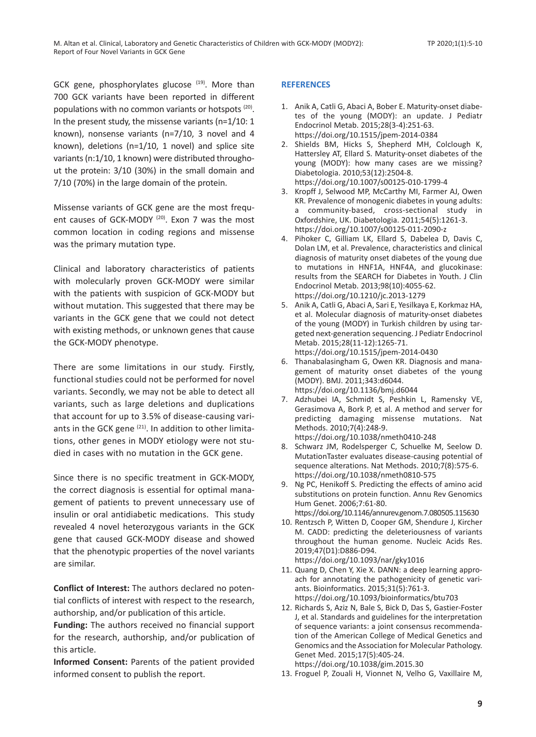GCK gene, phosphorylates glucose (19). More than 700 GCK variants have been reported in different populations with no common variants or hotspots (20). In the present study, the missense variants (n=1/10: 1 known), nonsense variants (n=7/10, 3 novel and 4 known), deletions (n=1/10, 1 novel) and splice site variants (n:1/10, 1 known) were distributed throughout the protein: 3/10 (30%) in the small domain and 7/10 (70%) in the large domain of the protein.

Missense variants of GCK gene are the most frequent causes of GCK-MODY<sup>(20)</sup>. Exon 7 was the most common location in coding regions and missense was the primary mutation type.

Clinical and laboratory characteristics of patients with molecularly proven GCK-MODY were similar with the patients with suspicion of GCK-MODY but without mutation. This suggested that there may be variants in the GCK gene that we could not detect with existing methods, or unknown genes that cause the GCK-MODY phenotype.

There are some limitations in our study. Firstly, functional studies could not be performed for novel variants. Secondly, we may not be able to detect all variants, such as large deletions and duplications that account for up to 3.5% of disease-causing variants in the GCK gene  $(21)$ . In addition to other limitations, other genes in MODY etiology were not studied in cases with no mutation in the GCK gene.

Since there is no specific treatment in GCK-MODY, the correct diagnosis is essential for optimal management of patients to prevent unnecessary use of insulin or oral antidiabetic medications. This study revealed 4 novel heterozygous variants in the GCK gene that caused GCK-MODY disease and showed that the phenotypic properties of the novel variants are similar.

**Conflict of Interest:** The authors declared no potential conflicts of interest with respect to the research, authorship, and/or publication of this article.

**Funding:** The authors received no financial support for the research, authorship, and/or publication of this article.

**Informed Consent:** Parents of the patient provided informed consent to publish the report.

# **REFERENCES**

- 1. Anik A, Catli G, Abaci A, Bober E. Maturity-onset diabetes of the young (MODY): an update. J Pediatr Endocrinol Metab. 2015;28(3-4):251-63. https://doi.org/10.1515/jpem-2014-0384
- 2. Shields BM, Hicks S, Shepherd MH, Colclough K, Hattersley AT, Ellard S. Maturity-onset diabetes of the young (MODY): how many cases are we missing? Diabetologia. 2010;53(12):2504-8. https://doi.org/10.1007/s00125-010-1799-4
- 3. Kropff J, Selwood MP, McCarthy MI, Farmer AJ, Owen KR. Prevalence of monogenic diabetes in young adults: a community-based, cross-sectional study in Oxfordshire, UK. Diabetologia. 2011;54(5):1261-3. https://doi.org/10.1007/s00125-011-2090-z
- 4. Pihoker C, Gilliam LK, Ellard S, Dabelea D, Davis C, Dolan LM, et al. Prevalence, characteristics and clinical diagnosis of maturity onset diabetes of the young due to mutations in HNF1A, HNF4A, and glucokinase: results from the SEARCH for Diabetes in Youth. J Clin Endocrinol Metab. 2013;98(10):4055-62. https://doi.org/10.1210/jc.2013-1279
- 5. Anik A, Catli G, Abaci A, Sari E, Yesilkaya E, Korkmaz HA, et al. Molecular diagnosis of maturity-onset diabetes of the young (MODY) in Turkish children by using targeted next-generation sequencing. J Pediatr Endocrinol Metab. 2015;28(11-12):1265-71. https://doi.org/10.1515/jpem-2014-0430
- 6. Thanabalasingham G, Owen KR. Diagnosis and management of maturity onset diabetes of the young (MODY). BMJ. 2011;343:d6044. https://doi.org/10.1136/bmj.d6044
- 7. Adzhubei IA, Schmidt S, Peshkin L, Ramensky VE, Gerasimova A, Bork P, et al. A method and server for predicting damaging missense mutations. Nat Methods. 2010;7(4):248-9.
- https://doi.org/10.1038/nmeth0410-248 8. Schwarz JM, Rodelsperger C, Schuelke M, Seelow D. MutationTaster evaluates disease-causing potential of sequence alterations. Nat Methods. 2010;7(8):575-6. https://doi.org/10.1038/nmeth0810-575
- 9. Ng PC, Henikoff S. Predicting the effects of amino acid substitutions on protein function. Annu Rev Genomics Hum Genet. 2006;7:61-80.
	- https://doi.org/10.1146/annurev.genom.7.080505.115630
- 10. Rentzsch P, Witten D, Cooper GM, Shendure J, Kircher M. CADD: predicting the deleteriousness of variants throughout the human genome. Nucleic Acids Res. 2019;47(D1):D886-D94. https://doi.org/10.1093/nar/gky1016
- 11. Quang D, Chen Y, Xie X. DANN: a deep learning approach for annotating the pathogenicity of genetic variants. Bioinformatics. 2015;31(5):761-3.
- https://doi.org/10.1093/bioinformatics/btu703 12. Richards S, Aziz N, Bale S, Bick D, Das S, Gastier-Foster J, et al. Standards and guidelines for the interpretation of sequence variants: a joint consensus recommendation of the American College of Medical Genetics and Genomics and the Association for Molecular Pathology. Genet Med. 2015;17(5):405-24. https://doi.org/10.1038/gim.2015.30
- 13. Froguel P, Zouali H, Vionnet N, Velho G, Vaxillaire M,